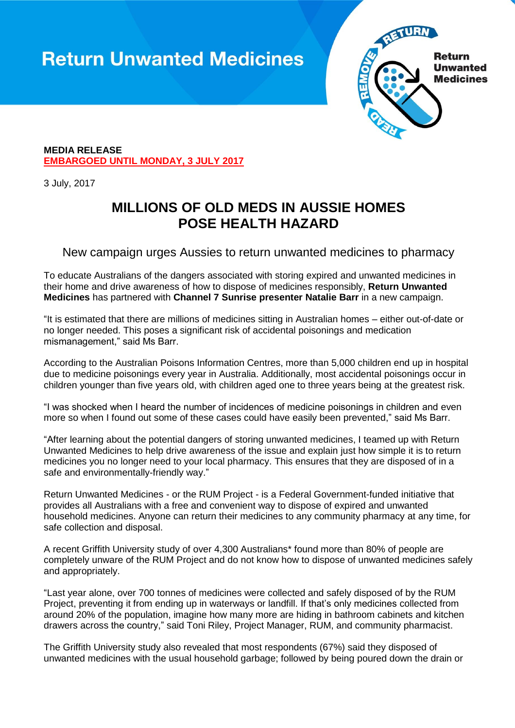## **Return Unwanted Medicines**



### **MEDIA RELEASE EMBARGOED UNTIL MONDAY, 3 JULY 2017**

3 July, 2017

## **MILLIONS OF OLD MEDS IN AUSSIE HOMES POSE HEALTH HAZARD**

## New campaign urges Aussies to return unwanted medicines to pharmacy

To educate Australians of the dangers associated with storing expired and unwanted medicines in their home and drive awareness of how to dispose of medicines responsibly, **[Return Unwanted](file://///HGDATA/HealthHaus%20Server/CLIENTS%20ACTIVE/RUM/Media%20materials/Consumer%20media%20release/returnmeds.com.au)  [Medicines](file://///HGDATA/HealthHaus%20Server/CLIENTS%20ACTIVE/RUM/Media%20materials/Consumer%20media%20release/returnmeds.com.au)** has partnered with **Channel 7 Sunrise presenter Natalie Barr** in a new campaign.

"It is estimated that there are millions of medicines sitting in Australian homes – either out-of-date or no longer needed. This poses a significant risk of accidental poisonings and medication mismanagement," said Ms Barr.

According to the Australian Poisons Information Centres, more than 5,000 children end up in hospital due to medicine poisonings every year in Australia. Additionally, most accidental poisonings occur in children younger than five years old, with children aged one to three years being at the greatest risk.

"I was shocked when I heard the number of incidences of medicine poisonings in children and even more so when I found out some of these cases could have easily been prevented," said Ms Barr.

"After learning about the potential dangers of storing unwanted medicines, I teamed up with Return Unwanted Medicines to help drive awareness of the issue and explain just how simple it is to return medicines you no longer need to your local pharmacy. This ensures that they are disposed of in a safe and environmentally-friendly way."

Return Unwanted Medicines - or the RUM Project - is a Federal Government-funded initiative that provides all Australians with a free and convenient way to dispose of expired and unwanted household medicines. Anyone can return their medicines to any community pharmacy at any time, for safe collection and disposal.

A recent Griffith University study of over 4,300 Australians\* found more than 80% of people are completely unware of the RUM Project and do not know how to dispose of unwanted medicines safely and appropriately.

"Last year alone, over 700 tonnes of medicines were collected and safely disposed of by the RUM Project, preventing it from ending up in waterways or landfill. If that's only medicines collected from around 20% of the population, imagine how many more are hiding in bathroom cabinets and kitchen drawers across the country," said Toni Riley, Project Manager, RUM, and community pharmacist.

The Griffith University study also revealed that most respondents (67%) said they disposed of unwanted medicines with the usual household garbage; followed by being poured down the drain or